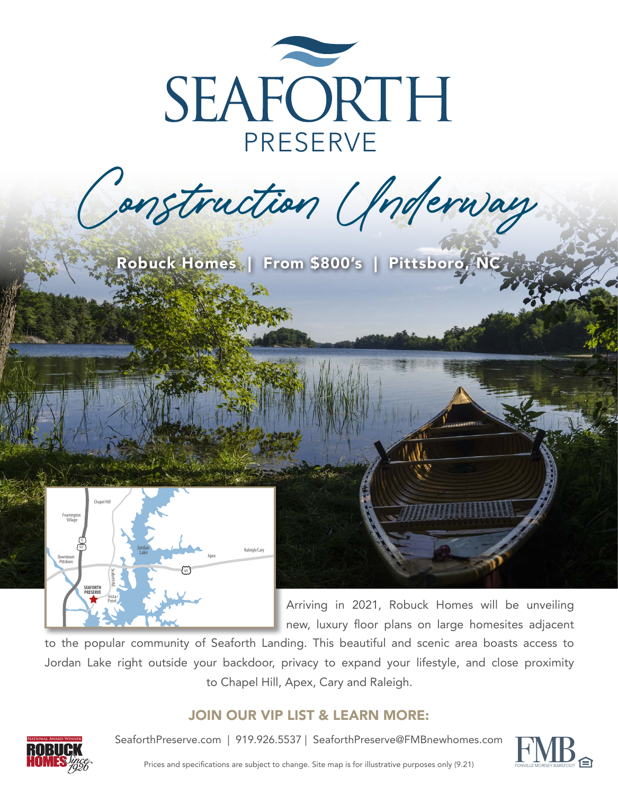

Construction Underway

Robuck Homes | From \$800's | Pittsboro, NC



Arriving in 2021, Robuck Homes will be unveiling new, luxury floor plans on large homesites adjacent

to the popular community of Seaforth Landing. This beautiful and scenic area boasts access to Jordan Lake right outside your backdoor, privacy to expand your lifestyle, and close proximity to Chapel Hill, Apex, Cary and Raleigh.

## JOIN OUR VIP LIST & LEARN MORE:



SeaforthPreserve.com | 919.926.5537 | SeaforthPreserve@FMBnewhomes.com